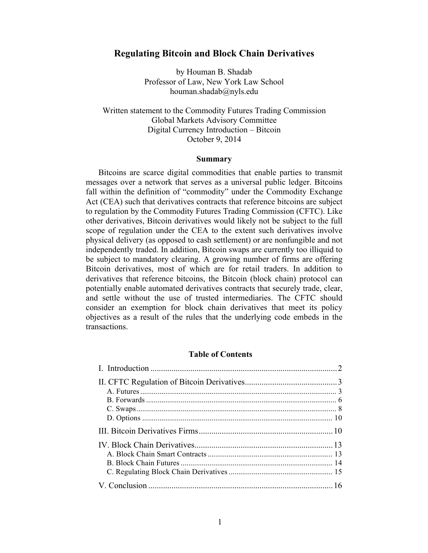## **Regulating Bitcoin and Block Chain Derivatives**

by Houman B. Shadab Professor of Law, New York Law School houman.shadab@nyls.edu

Written statement to the Commodity Futures Trading Commission Global Markets Advisory Committee Digital Currency Introduction – Bitcoin October 9, 2014

### **Summary**

Bitcoins are scarce digital commodities that enable parties to transmit messages over a network that serves as a universal public ledger. Bitcoins fall within the definition of "commodity" under the Commodity Exchange Act (CEA) such that derivatives contracts that reference bitcoins are subject to regulation by the Commodity Futures Trading Commission (CFTC). Like other derivatives, Bitcoin derivatives would likely not be subject to the full scope of regulation under the CEA to the extent such derivatives involve physical delivery (as opposed to cash settlement) or are nonfungible and not independently traded. In addition, Bitcoin swaps are currently too illiquid to be subject to mandatory clearing. A growing number of firms are offering Bitcoin derivatives, most of which are for retail traders. In addition to derivatives that reference bitcoins, the Bitcoin (block chain) protocol can potentially enable automated derivatives contracts that securely trade, clear, and settle without the use of trusted intermediaries. The CFTC should consider an exemption for block chain derivatives that meet its policy objectives as a result of the rules that the underlying code embeds in the transactions.

# **Table of Contents**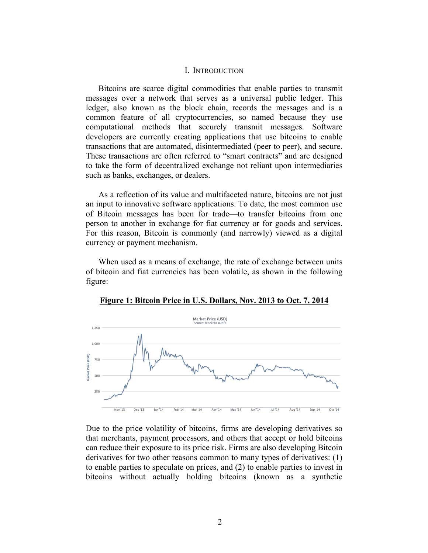### I. INTRODUCTION

Bitcoins are scarce digital commodities that enable parties to transmit messages over a network that serves as a universal public ledger. This ledger, also known as the block chain, records the messages and is a common feature of all cryptocurrencies, so named because they use computational methods that securely transmit messages. Software developers are currently creating applications that use bitcoins to enable transactions that are automated, disintermediated (peer to peer), and secure. These transactions are often referred to "smart contracts" and are designed to take the form of decentralized exchange not reliant upon intermediaries such as banks, exchanges, or dealers.

As a reflection of its value and multifaceted nature, bitcoins are not just an input to innovative software applications. To date, the most common use of Bitcoin messages has been for trade—to transfer bitcoins from one person to another in exchange for fiat currency or for goods and services. For this reason, Bitcoin is commonly (and narrowly) viewed as a digital currency or payment mechanism.

When used as a means of exchange, the rate of exchange between units of bitcoin and fiat currencies has been volatile, as shown in the following figure:



**Figure 1: Bitcoin Price in U.S. Dollars, Nov. 2013 to Oct. 7, 2014**

Due to the price volatility of bitcoins, firms are developing derivatives so that merchants, payment processors, and others that accept or hold bitcoins can reduce their exposure to its price risk. Firms are also developing Bitcoin derivatives for two other reasons common to many types of derivatives: (1) to enable parties to speculate on prices, and (2) to enable parties to invest in bitcoins without actually holding bitcoins (known as a synthetic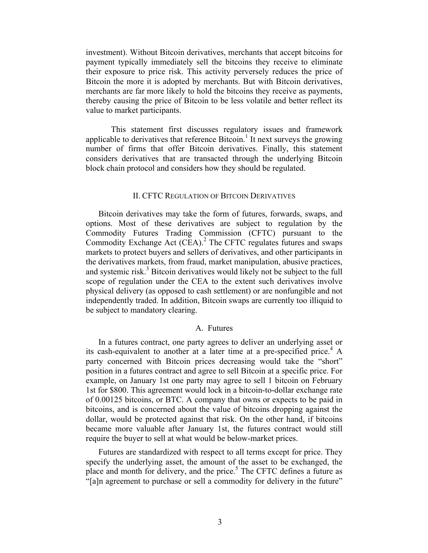investment). Without Bitcoin derivatives, merchants that accept bitcoins for payment typically immediately sell the bitcoins they receive to eliminate their exposure to price risk. This activity perversely reduces the price of Bitcoin the more it is adopted by merchants. But with Bitcoin derivatives, merchants are far more likely to hold the bitcoins they receive as payments, thereby causing the price of Bitcoin to be less volatile and better reflect its value to market participants.

This statement first discusses regulatory issues and framework applicable to derivatives that reference  $Bitcoin<sup>1</sup>$ . It next surveys the growing number of firms that offer Bitcoin derivatives. Finally, this statement considers derivatives that are transacted through the underlying Bitcoin block chain protocol and considers how they should be regulated.

#### II. CFTC REGULATION OF BITCOIN DERIVATIVES

Bitcoin derivatives may take the form of futures, forwards, swaps, and options. Most of these derivatives are subject to regulation by the Commodity Futures Trading Commission (CFTC) pursuant to the Commodity Exchange Act  $(CEA)^2$ . The CFTC regulates futures and swaps markets to protect buyers and sellers of derivatives, and other participants in the derivatives markets, from fraud, market manipulation, abusive practices, and systemic risk. <sup>3</sup> Bitcoin derivatives would likely not be subject to the full scope of regulation under the CEA to the extent such derivatives involve physical delivery (as opposed to cash settlement) or are nonfungible and not independently traded. In addition, Bitcoin swaps are currently too illiquid to be subject to mandatory clearing.

### A. Futures

In a futures contract, one party agrees to deliver an underlying asset or its cash-equivalent to another at a later time at a pre-specified price.<sup>4</sup> A party concerned with Bitcoin prices decreasing would take the "short" position in a futures contract and agree to sell Bitcoin at a specific price. For example, on January 1st one party may agree to sell 1 bitcoin on February 1st for \$800. This agreement would lock in a bitcoin-to-dollar exchange rate of 0.00125 bitcoins, or BTC. A company that owns or expects to be paid in bitcoins, and is concerned about the value of bitcoins dropping against the dollar, would be protected against that risk. On the other hand, if bitcoins became more valuable after January 1st, the futures contract would still require the buyer to sell at what would be below-market prices.

Futures are standardized with respect to all terms except for price. They specify the underlying asset, the amount of the asset to be exchanged, the place and month for delivery, and the price.<sup>5</sup> The CFTC defines a future as "[a]n agreement to purchase or sell a commodity for delivery in the future"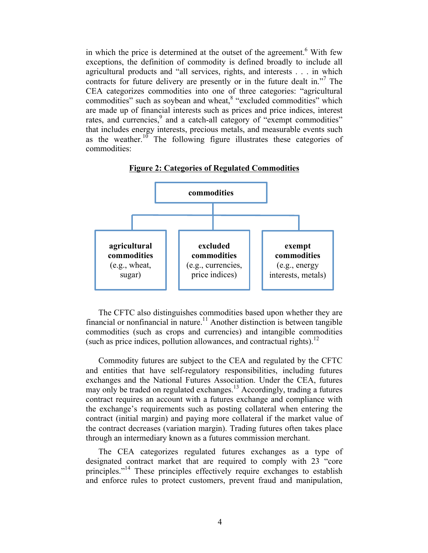in which the price is determined at the outset of the agreement.<sup>6</sup> With few exceptions, the definition of commodity is defined broadly to include all agricultural products and "all services, rights, and interests . . . in which contracts for future delivery are presently or in the future dealt in."<sup>7</sup> The CEA categorizes commodities into one of three categories: "agricultural commodities" such as soybean and wheat,<sup>8</sup> "excluded commodities" which are made up of financial interests such as prices and price indices, interest rates, and currencies,<sup>9</sup> and a catch-all category of "exempt commodities" that includes energy interests, precious metals, and measurable events such as the weather.<sup>10</sup> The following figure illustrates these categories of commodities:



**Figure 2: Categories of Regulated Commodities**

The CFTC also distinguishes commodities based upon whether they are financial or nonfinancial in nature.<sup>11</sup> Another distinction is between tangible commodities (such as crops and currencies) and intangible commodities (such as price indices, pollution allowances, and contractual rights).<sup>12</sup>

Commodity futures are subject to the CEA and regulated by the CFTC and entities that have self-regulatory responsibilities, including futures exchanges and the National Futures Association. Under the CEA, futures may only be traded on regulated exchanges.<sup>13</sup> Accordingly, trading a futures contract requires an account with a futures exchange and compliance with the exchange's requirements such as posting collateral when entering the contract (initial margin) and paying more collateral if the market value of the contract decreases (variation margin). Trading futures often takes place through an intermediary known as a futures commission merchant.

The CEA categorizes regulated futures exchanges as a type of designated contract market that are required to comply with 23 "core principles."<sup>14</sup> These principles effectively require exchanges to establish and enforce rules to protect customers, prevent fraud and manipulation,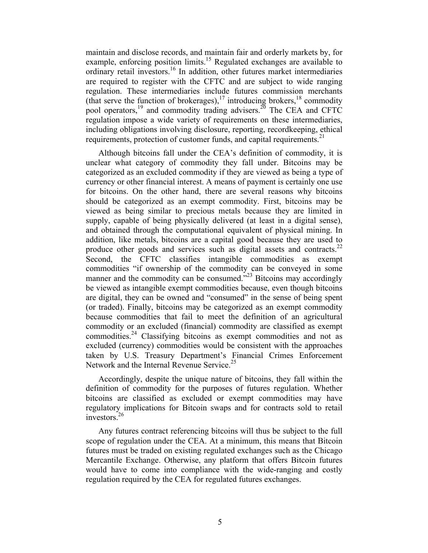maintain and disclose records, and maintain fair and orderly markets by, for example, enforcing position limits.<sup>15</sup> Regulated exchanges are available to ordinary retail investors.<sup>16</sup> In addition, other futures market intermediaries are required to register with the CFTC and are subject to wide ranging regulation. These intermediaries include futures commission merchants (that serve the function of brokerages), $17$  introducing brokers, $18$  commodity pool operators,<sup>19</sup> and commodity trading advisers.<sup>20</sup> The CEA and CFTC regulation impose a wide variety of requirements on these intermediaries, including obligations involving disclosure, reporting, recordkeeping, ethical requirements, protection of customer funds, and capital requirements.<sup>21</sup>

Although bitcoins fall under the CEA's definition of commodity, it is unclear what category of commodity they fall under. Bitcoins may be categorized as an excluded commodity if they are viewed as being a type of currency or other financial interest. A means of payment is certainly one use for bitcoins. On the other hand, there are several reasons why bitcoins should be categorized as an exempt commodity. First, bitcoins may be viewed as being similar to precious metals because they are limited in supply, capable of being physically delivered (at least in a digital sense), and obtained through the computational equivalent of physical mining. In addition, like metals, bitcoins are a capital good because they are used to produce other goods and services such as digital assets and contracts.<sup>22</sup> Second, the CFTC classifies intangible commodities as exempt commodities "if ownership of the commodity can be conveyed in some manner and the commodity can be consumed.<sup>323</sup> Bitcoins may accordingly be viewed as intangible exempt commodities because, even though bitcoins are digital, they can be owned and "consumed" in the sense of being spent (or traded). Finally, bitcoins may be categorized as an exempt commodity because commodities that fail to meet the definition of an agricultural commodity or an excluded (financial) commodity are classified as exempt commodities.<sup>24</sup> Classifying bitcoins as exempt commodities and not as excluded (currency) commodities would be consistent with the approaches taken by U.S. Treasury Department's Financial Crimes Enforcement Network and the Internal Revenue Service. 25

Accordingly, despite the unique nature of bitcoins, they fall within the definition of commodity for the purposes of futures regulation. Whether bitcoins are classified as excluded or exempt commodities may have regulatory implications for Bitcoin swaps and for contracts sold to retail investors $^{26}$ 

Any futures contract referencing bitcoins will thus be subject to the full scope of regulation under the CEA. At a minimum, this means that Bitcoin futures must be traded on existing regulated exchanges such as the Chicago Mercantile Exchange. Otherwise, any platform that offers Bitcoin futures would have to come into compliance with the wide-ranging and costly regulation required by the CEA for regulated futures exchanges.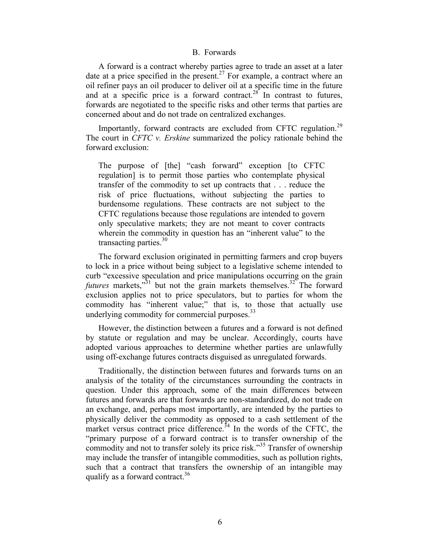#### B. Forwards

A forward is a contract whereby parties agree to trade an asset at a later date at a price specified in the present.<sup>27</sup> For example, a contract where an oil refiner pays an oil producer to deliver oil at a specific time in the future and at a specific price is a forward contract.<sup>28</sup> In contrast to futures, forwards are negotiated to the specific risks and other terms that parties are concerned about and do not trade on centralized exchanges.

Importantly, forward contracts are excluded from CFTC regulation.<sup>29</sup> The court in *CFTC v. Erskine* summarized the policy rationale behind the forward exclusion:

The purpose of [the] "cash forward" exception [to CFTC regulation] is to permit those parties who contemplate physical transfer of the commodity to set up contracts that . . . reduce the risk of price fluctuations, without subjecting the parties to burdensome regulations. These contracts are not subject to the CFTC regulations because those regulations are intended to govern only speculative markets; they are not meant to cover contracts wherein the commodity in question has an "inherent value" to the transacting parties. $30$ 

The forward exclusion originated in permitting farmers and crop buyers to lock in a price without being subject to a legislative scheme intended to curb "excessive speculation and price manipulations occurring on the grain *futures* markets,<sup>331</sup> but not the grain markets themselves.<sup>32</sup> The forward exclusion applies not to price speculators, but to parties for whom the commodity has "inherent value;" that is, to those that actually use underlying commodity for commercial purposes.<sup>33</sup>

However, the distinction between a futures and a forward is not defined by statute or regulation and may be unclear. Accordingly, courts have adopted various approaches to determine whether parties are unlawfully using off-exchange futures contracts disguised as unregulated forwards.

Traditionally, the distinction between futures and forwards turns on an analysis of the totality of the circumstances surrounding the contracts in question. Under this approach, some of the main differences between futures and forwards are that forwards are non-standardized, do not trade on an exchange, and, perhaps most importantly, are intended by the parties to physically deliver the commodity as opposed to a cash settlement of the market versus contract price difference.<sup> $34$ </sup> In the words of the CFTC, the "primary purpose of a forward contract is to transfer ownership of the commodity and not to transfer solely its price risk."<sup>35</sup> Transfer of ownership may include the transfer of intangible commodities, such as pollution rights, such that a contract that transfers the ownership of an intangible may qualify as a forward contract.<sup>36</sup>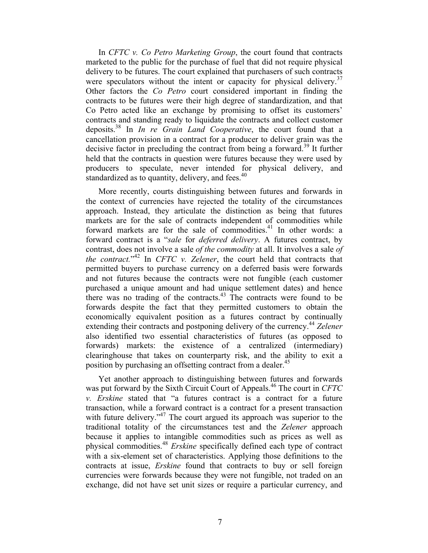In *CFTC v. Co Petro Marketing Group*, the court found that contracts marketed to the public for the purchase of fuel that did not require physical delivery to be futures. The court explained that purchasers of such contracts were speculators without the intent or capacity for physical delivery.<sup>37</sup> Other factors the *Co Petro* court considered important in finding the contracts to be futures were their high degree of standardization, and that Co Petro acted like an exchange by promising to offset its customers' contracts and standing ready to liquidate the contracts and collect customer deposits.38 In *In re Grain Land Cooperative*, the court found that a cancellation provision in a contract for a producer to deliver grain was the decisive factor in precluding the contract from being a forward.<sup>39</sup> It further held that the contracts in question were futures because they were used by producers to speculate, never intended for physical delivery, and standardized as to quantity, delivery, and fees.<sup>40</sup>

More recently, courts distinguishing between futures and forwards in the context of currencies have rejected the totality of the circumstances approach. Instead, they articulate the distinction as being that futures markets are for the sale of contracts independent of commodities while forward markets are for the sale of commodities.<sup>41</sup> In other words: a forward contract is a "*sale* for *deferred delivery*. A futures contract, by contrast, does not involve a sale *of the commodity* at all. It involves a sale *of the contract.*<sup> $342$ </sup> In *CFTC v. Zelener*, the court held that contracts that permitted buyers to purchase currency on a deferred basis were forwards and not futures because the contracts were not fungible (each customer purchased a unique amount and had unique settlement dates) and hence there was no trading of the contracts.<sup>43</sup> The contracts were found to be forwards despite the fact that they permitted customers to obtain the economically equivalent position as a futures contract by continually extending their contracts and postponing delivery of the currency.<sup>44</sup> *Zelener* also identified two essential characteristics of futures (as opposed to forwards) markets: the existence of a centralized (intermediary) clearinghouse that takes on counterparty risk, and the ability to exit a position by purchasing an offsetting contract from a dealer.<sup>45</sup>

Yet another approach to distinguishing between futures and forwards was put forward by the Sixth Circuit Court of Appeals.<sup>46</sup> The court in *CFTC v. Erskine* stated that "a futures contract is a contract for a future transaction, while a forward contract is a contract for a present transaction with future delivery."<sup>47</sup> The court argued its approach was superior to the traditional totality of the circumstances test and the *Zelener* approach because it applies to intangible commodities such as prices as well as physical commodities.<sup>48</sup> *Erskine* specifically defined each type of contract with a six-element set of characteristics. Applying those definitions to the contracts at issue, *Erskine* found that contracts to buy or sell foreign currencies were forwards because they were not fungible, not traded on an exchange, did not have set unit sizes or require a particular currency, and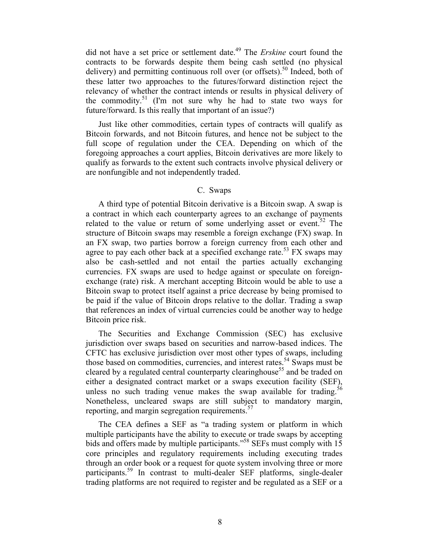did not have a set price or settlement date.49 The *Erskine* court found the contracts to be forwards despite them being cash settled (no physical delivery) and permitting continuous roll over (or offsets).<sup>50</sup> Indeed, both of these latter two approaches to the futures/forward distinction reject the relevancy of whether the contract intends or results in physical delivery of the commodity.<sup>51</sup> (I'm not sure why he had to state two ways for future/forward. Is this really that important of an issue?)

Just like other commodities, certain types of contracts will qualify as Bitcoin forwards, and not Bitcoin futures, and hence not be subject to the full scope of regulation under the CEA. Depending on which of the foregoing approaches a court applies, Bitcoin derivatives are more likely to qualify as forwards to the extent such contracts involve physical delivery or are nonfungible and not independently traded.

### C. Swaps

A third type of potential Bitcoin derivative is a Bitcoin swap. A swap is a contract in which each counterparty agrees to an exchange of payments related to the value or return of some underlying asset or event.<sup>52</sup> The structure of Bitcoin swaps may resemble a foreign exchange (FX) swap. In an FX swap, two parties borrow a foreign currency from each other and agree to pay each other back at a specified exchange rate.<sup>53</sup> FX swaps may also be cash-settled and not entail the parties actually exchanging currencies. FX swaps are used to hedge against or speculate on foreignexchange (rate) risk. A merchant accepting Bitcoin would be able to use a Bitcoin swap to protect itself against a price decrease by being promised to be paid if the value of Bitcoin drops relative to the dollar. Trading a swap that references an index of virtual currencies could be another way to hedge Bitcoin price risk.

The Securities and Exchange Commission (SEC) has exclusive jurisdiction over swaps based on securities and narrow-based indices. The CFTC has exclusive jurisdiction over most other types of swaps, including those based on commodities, currencies, and interest rates.<sup>54</sup> Swaps must be cleared by a regulated central counterparty clearinghouse<sup>55</sup> and be traded on either a designated contract market or a swaps execution facility (SEF), unless no such trading venue makes the swap available for trading.<sup>5</sup> Nonetheless, uncleared swaps are still subject to mandatory margin, reporting, and margin segregation requirements. $57$ 

The CEA defines a SEF as "a trading system or platform in which multiple participants have the ability to execute or trade swaps by accepting bids and offers made by multiple participants."<sup>58</sup> SEFs must comply with 15 core principles and regulatory requirements including executing trades through an order book or a request for quote system involving three or more participants.<sup>59</sup> In contrast to multi-dealer SEF platforms, single-dealer trading platforms are not required to register and be regulated as a SEF or a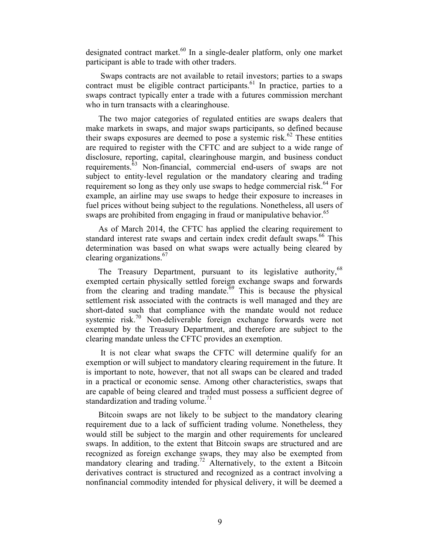designated contract market.<sup>60</sup> In a single-dealer platform, only one market participant is able to trade with other traders.

Swaps contracts are not available to retail investors; parties to a swaps contract must be eligible contract participants.<sup>61</sup> In practice, parties to a swaps contract typically enter a trade with a futures commission merchant who in turn transacts with a clearinghouse.

The two major categories of regulated entities are swaps dealers that make markets in swaps, and major swaps participants, so defined because their swaps exposures are deemed to pose a systemic risk.<sup>62</sup> These entities are required to register with the CFTC and are subject to a wide range of disclosure, reporting, capital, clearinghouse margin, and business conduct requirements.<sup>63</sup> Non-financial, commercial end-users of swaps are not subject to entity-level regulation or the mandatory clearing and trading requirement so long as they only use swaps to hedge commercial risk.<sup>64</sup> For example, an airline may use swaps to hedge their exposure to increases in fuel prices without being subject to the regulations. Nonetheless, all users of swaps are prohibited from engaging in fraud or manipulative behavior.<sup>65</sup>

As of March 2014, the CFTC has applied the clearing requirement to standard interest rate swaps and certain index credit default swaps.<sup>66</sup> This determination was based on what swaps were actually being cleared by clearing organizations.<sup>67</sup>

The Treasury Department, pursuant to its legislative authority, <sup>68</sup> exempted certain physically settled foreign exchange swaps and forwards from the clearing and trading mandate. $69$  This is because the physical settlement risk associated with the contracts is well managed and they are short-dated such that compliance with the mandate would not reduce systemic risk.<sup>70</sup> Non-deliverable foreign exchange forwards were not exempted by the Treasury Department, and therefore are subject to the clearing mandate unless the CFTC provides an exemption.

It is not clear what swaps the CFTC will determine qualify for an exemption or will subject to mandatory clearing requirement in the future. It is important to note, however, that not all swaps can be cleared and traded in a practical or economic sense. Among other characteristics, swaps that are capable of being cleared and traded must possess a sufficient degree of standardization and trading volume. $11$ 

Bitcoin swaps are not likely to be subject to the mandatory clearing requirement due to a lack of sufficient trading volume. Nonetheless, they would still be subject to the margin and other requirements for uncleared swaps. In addition, to the extent that Bitcoin swaps are structured and are recognized as foreign exchange swaps, they may also be exempted from mandatory clearing and trading.<sup>72</sup> Alternatively, to the extent a Bitcoin derivatives contract is structured and recognized as a contract involving a nonfinancial commodity intended for physical delivery, it will be deemed a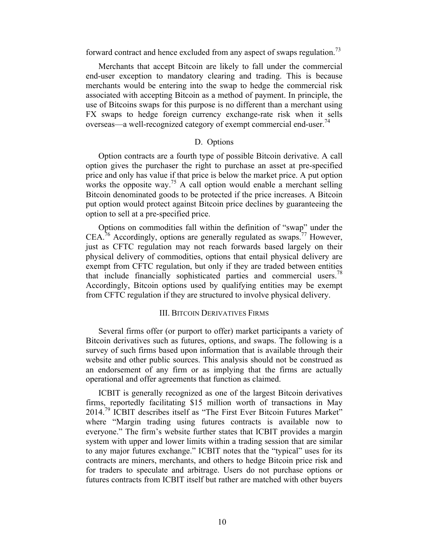forward contract and hence excluded from any aspect of swaps regulation.<sup>73</sup>

Merchants that accept Bitcoin are likely to fall under the commercial end-user exception to mandatory clearing and trading. This is because merchants would be entering into the swap to hedge the commercial risk associated with accepting Bitcoin as a method of payment. In principle, the use of Bitcoins swaps for this purpose is no different than a merchant using FX swaps to hedge foreign currency exchange-rate risk when it sells overseas—a well-recognized category of exempt commercial end-user.<sup>74</sup>

### D. Options

Option contracts are a fourth type of possible Bitcoin derivative. A call option gives the purchaser the right to purchase an asset at pre-specified price and only has value if that price is below the market price. A put option works the opposite way.<sup>75</sup> A call option would enable a merchant selling Bitcoin denominated goods to be protected if the price increases. A Bitcoin put option would protect against Bitcoin price declines by guaranteeing the option to sell at a pre-specified price.

Options on commodities fall within the definition of "swap" under the  $CEA<sup>76</sup>$  Accordingly, options are generally regulated as swaps.<sup>77</sup> However, just as CFTC regulation may not reach forwards based largely on their physical delivery of commodities, options that entail physical delivery are exempt from CFTC regulation, but only if they are traded between entities that include financially sophisticated parties and commercial users.<sup>78</sup> Accordingly, Bitcoin options used by qualifying entities may be exempt from CFTC regulation if they are structured to involve physical delivery.

### III. BITCOIN DERIVATIVES FIRMS

Several firms offer (or purport to offer) market participants a variety of Bitcoin derivatives such as futures, options, and swaps. The following is a survey of such firms based upon information that is available through their website and other public sources. This analysis should not be construed as an endorsement of any firm or as implying that the firms are actually operational and offer agreements that function as claimed.

ICBIT is generally recognized as one of the largest Bitcoin derivatives firms, reportedly facilitating \$15 million worth of transactions in May 2014.<sup>79</sup> ICBIT describes itself as "The First Ever Bitcoin Futures Market" where "Margin trading using futures contracts is available now to everyone." The firm's website further states that ICBIT provides a margin system with upper and lower limits within a trading session that are similar to any major futures exchange." ICBIT notes that the "typical" uses for its contracts are miners, merchants, and others to hedge Bitcoin price risk and for traders to speculate and arbitrage. Users do not purchase options or futures contracts from ICBIT itself but rather are matched with other buyers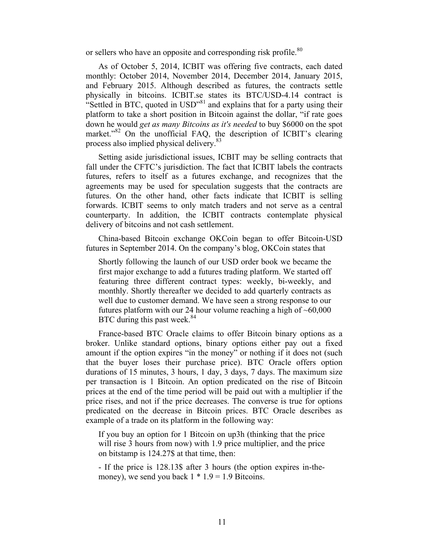or sellers who have an opposite and corresponding risk profile.<sup>80</sup>

As of October 5, 2014, ICBIT was offering five contracts, each dated monthly: October 2014, November 2014, December 2014, January 2015, and February 2015. Although described as futures, the contracts settle physically in bitcoins. ICBIT.se states its BTC/USD-4.14 contract is "Settled in BTC, quoted in  $USD<sup>981</sup>$  and explains that for a party using their platform to take a short position in Bitcoin against the dollar, "if rate goes down he would *get as many Bitcoins as it's needed* to buy \$6000 on the spot market."<sup>82</sup> On the unofficial FAQ, the description of ICBIT's clearing process also implied physical delivery.<sup>83</sup>

Setting aside jurisdictional issues, ICBIT may be selling contracts that fall under the CFTC's jurisdiction. The fact that ICBIT labels the contracts futures, refers to itself as a futures exchange, and recognizes that the agreements may be used for speculation suggests that the contracts are futures. On the other hand, other facts indicate that ICBIT is selling forwards. ICBIT seems to only match traders and not serve as a central counterparty. In addition, the ICBIT contracts contemplate physical delivery of bitcoins and not cash settlement.

China-based Bitcoin exchange OKCoin began to offer Bitcoin-USD futures in September 2014. On the company's blog, OKCoin states that

Shortly following the launch of our USD order book we became the first major exchange to add a futures trading platform. We started off featuring three different contract types: weekly, bi-weekly, and monthly. Shortly thereafter we decided to add quarterly contracts as well due to customer demand. We have seen a strong response to our futures platform with our 24 hour volume reaching a high of  $~60,000$ BTC during this past week.<sup>84</sup>

France-based BTC Oracle claims to offer Bitcoin binary options as a broker. Unlike standard options, binary options either pay out a fixed amount if the option expires "in the money" or nothing if it does not (such that the buyer loses their purchase price). BTC Oracle offers option durations of 15 minutes, 3 hours, 1 day, 3 days, 7 days. The maximum size per transaction is 1 Bitcoin. An option predicated on the rise of Bitcoin prices at the end of the time period will be paid out with a multiplier if the price rises, and not if the price decreases. The converse is true for options predicated on the decrease in Bitcoin prices. BTC Oracle describes as example of a trade on its platform in the following way:

If you buy an option for 1 Bitcoin on up3h (thinking that the price will rise 3 hours from now) with 1.9 price multiplier, and the price on bitstamp is 124.27\$ at that time, then:

- If the price is 128.13\$ after 3 hours (the option expires in-themoney), we send you back  $1 * 1.9 = 1.9$  Bitcoins.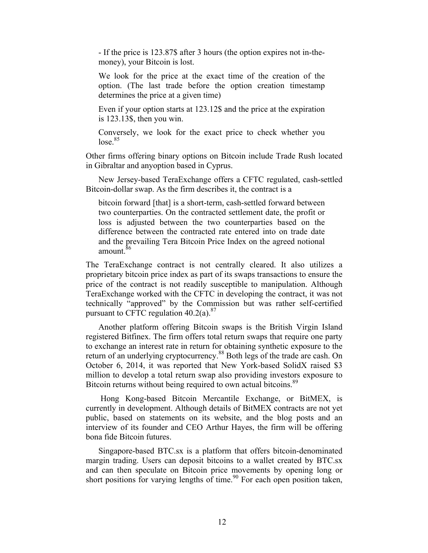- If the price is 123.87\$ after 3 hours (the option expires not in-themoney), your Bitcoin is lost.

We look for the price at the exact time of the creation of the option. (The last trade before the option creation timestamp determines the price at a given time)

Even if your option starts at 123.12\$ and the price at the expiration is 123.13\$, then you win.

Conversely, we look for the exact price to check whether you  $\log e^{85}$ 

Other firms offering binary options on Bitcoin include Trade Rush located in Gibraltar and anyoption based in Cyprus.

New Jersey-based TeraExchange offers a CFTC regulated, cash-settled Bitcoin-dollar swap. As the firm describes it, the contract is a

bitcoin forward [that] is a short-term, cash-settled forward between two counterparties. On the contracted settlement date, the profit or loss is adjusted between the two counterparties based on the difference between the contracted rate entered into on trade date and the prevailing Tera Bitcoin Price Index on the agreed notional amount.<sup>86</sup>

The TeraExchange contract is not centrally cleared. It also utilizes a proprietary bitcoin price index as part of its swaps transactions to ensure the price of the contract is not readily susceptible to manipulation. Although TeraExchange worked with the CFTC in developing the contract, it was not technically "approved" by the Commission but was rather self-certified pursuant to CFTC regulation  $40.2(a)^{87}$ 

Another platform offering Bitcoin swaps is the British Virgin Island registered Bitfinex. The firm offers total return swaps that require one party to exchange an interest rate in return for obtaining synthetic exposure to the return of an underlying cryptocurrency.<sup>88</sup> Both legs of the trade are cash. On October 6, 2014, it was reported that New York-based SolidX raised \$3 million to develop a total return swap also providing investors exposure to Bitcoin returns without being required to own actual bitcoins.<sup>89</sup>

Hong Kong-based Bitcoin Mercantile Exchange, or BitMEX, is currently in development. Although details of BitMEX contracts are not yet public, based on statements on its website, and the blog posts and an interview of its founder and CEO Arthur Hayes, the firm will be offering bona fide Bitcoin futures.

Singapore-based BTC.sx is a platform that offers bitcoin-denominated margin trading. Users can deposit bitcoins to a wallet created by BTC.sx and can then speculate on Bitcoin price movements by opening long or short positions for varying lengths of time.<sup>90</sup> For each open position taken,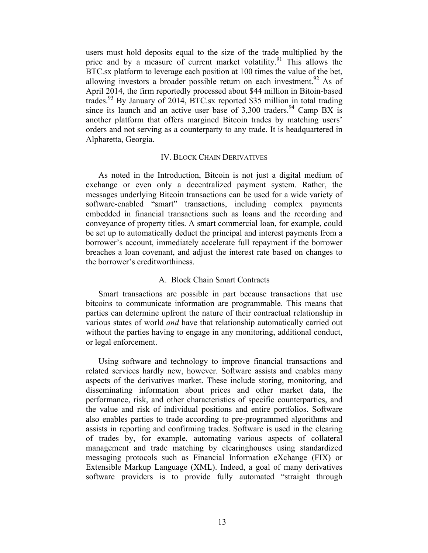users must hold deposits equal to the size of the trade multiplied by the price and by a measure of current market volatility.<sup>91</sup> This allows the BTC.sx platform to leverage each position at 100 times the value of the bet, allowing investors a broader possible return on each investment.<sup>92</sup> As of April 2014, the firm reportedly processed about \$44 million in Bitoin-based trades.<sup>93</sup> By January of 2014, BTC.sx reported \$35 million in total trading since its launch and an active user base of  $3,300$  traders.<sup>94</sup> Camp BX is another platform that offers margined Bitcoin trades by matching users' orders and not serving as a counterparty to any trade. It is headquartered in Alpharetta, Georgia.

#### IV. BLOCK CHAIN DERIVATIVES

As noted in the Introduction, Bitcoin is not just a digital medium of exchange or even only a decentralized payment system. Rather, the messages underlying Bitcoin transactions can be used for a wide variety of software-enabled "smart" transactions, including complex payments embedded in financial transactions such as loans and the recording and conveyance of property titles. A smart commercial loan, for example, could be set up to automatically deduct the principal and interest payments from a borrower's account, immediately accelerate full repayment if the borrower breaches a loan covenant, and adjust the interest rate based on changes to the borrower's creditworthiness.

### A. Block Chain Smart Contracts

Smart transactions are possible in part because transactions that use bitcoins to communicate information are programmable. This means that parties can determine upfront the nature of their contractual relationship in various states of world *and* have that relationship automatically carried out without the parties having to engage in any monitoring, additional conduct, or legal enforcement.

Using software and technology to improve financial transactions and related services hardly new, however. Software assists and enables many aspects of the derivatives market. These include storing, monitoring, and disseminating information about prices and other market data, the performance, risk, and other characteristics of specific counterparties, and the value and risk of individual positions and entire portfolios. Software also enables parties to trade according to pre-programmed algorithms and assists in reporting and confirming trades. Software is used in the clearing of trades by, for example, automating various aspects of collateral management and trade matching by clearinghouses using standardized messaging protocols such as Financial Information eXchange (FIX) or Extensible Markup Language (XML). Indeed, a goal of many derivatives software providers is to provide fully automated "straight through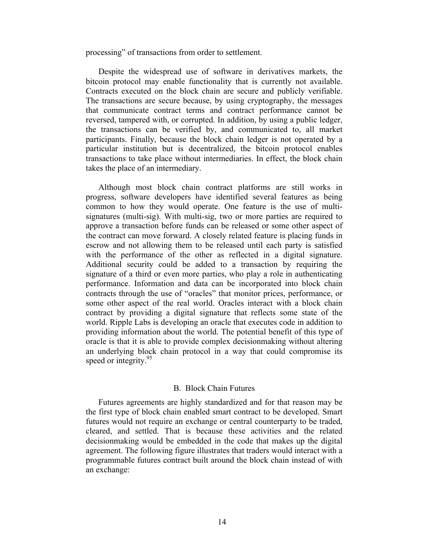processing" of transactions from order to settlement.

Despite the widespread use of software in derivatives markets, the bitcoin protocol may enable functionality that is currently not available. Contracts executed on the block chain are secure and publicly verifiable. The transactions are secure because, by using cryptography, the messages that communicate contract terms and contract performance cannot be reversed, tampered with, or corrupted. In addition, by using a public ledger, the transactions can be verified by, and communicated to, all market participants. Finally, because the block chain ledger is not operated by a particular institution but is decentralized, the bitcoin protocol enables transactions to take place without intermediaries. In effect, the block chain takes the place of an intermediary.

Although most block chain contract platforms are still works in progress, software developers have identified several features as being common to how they would operate. One feature is the use of multisignatures (multi-sig). With multi-sig, two or more parties are required to approve a transaction before funds can be released or some other aspect of the contract can move forward. A closely related feature is placing funds in escrow and not allowing them to be released until each party is satisfied with the performance of the other as reflected in a digital signature. Additional security could be added to a transaction by requiring the signature of a third or even more parties, who play a role in authenticating performance. Information and data can be incorporated into block chain contracts through the use of "oracles" that monitor prices, performance, or some other aspect of the real world. Oracles interact with a block chain contract by providing a digital signature that reflects some state of the world. Ripple Labs is developing an oracle that executes code in addition to providing information about the world. The potential benefit of this type of oracle is that it is able to provide complex decisionmaking without altering an underlying block chain protocol in a way that could compromise its speed or integrity.<sup>95</sup>

### B. Block Chain Futures

Futures agreements are highly standardized and for that reason may be the first type of block chain enabled smart contract to be developed. Smart futures would not require an exchange or central counterparty to be traded, cleared, and settled. That is because these activities and the related decisionmaking would be embedded in the code that makes up the digital agreement. The following figure illustrates that traders would interact with a programmable futures contract built around the block chain instead of with an exchange: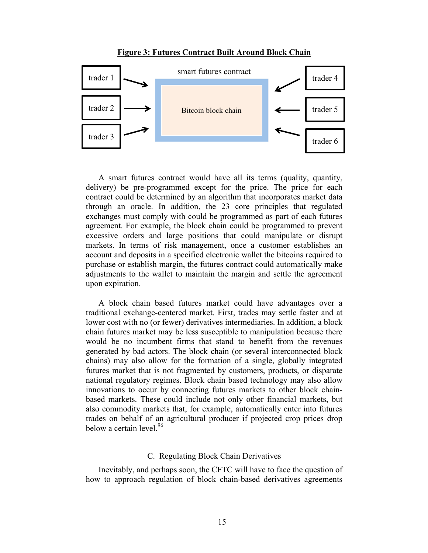



A smart futures contract would have all its terms (quality, quantity, delivery) be pre-programmed except for the price. The price for each contract could be determined by an algorithm that incorporates market data through an oracle. In addition, the 23 core principles that regulated exchanges must comply with could be programmed as part of each futures agreement. For example, the block chain could be programmed to prevent excessive orders and large positions that could manipulate or disrupt markets. In terms of risk management, once a customer establishes an account and deposits in a specified electronic wallet the bitcoins required to purchase or establish margin, the futures contract could automatically make adjustments to the wallet to maintain the margin and settle the agreement upon expiration.

A block chain based futures market could have advantages over a traditional exchange-centered market. First, trades may settle faster and at lower cost with no (or fewer) derivatives intermediaries. In addition, a block chain futures market may be less susceptible to manipulation because there would be no incumbent firms that stand to benefit from the revenues generated by bad actors. The block chain (or several interconnected block chains) may also allow for the formation of a single, globally integrated futures market that is not fragmented by customers, products, or disparate national regulatory regimes. Block chain based technology may also allow innovations to occur by connecting futures markets to other block chainbased markets. These could include not only other financial markets, but also commodity markets that, for example, automatically enter into futures trades on behalf of an agricultural producer if projected crop prices drop below a certain level  $96$ 

### C. Regulating Block Chain Derivatives

Inevitably, and perhaps soon, the CFTC will have to face the question of how to approach regulation of block chain-based derivatives agreements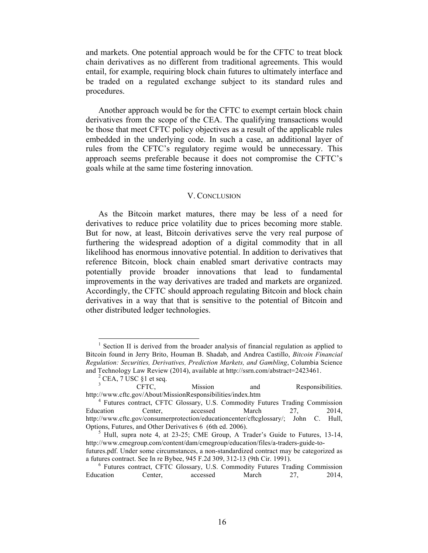and markets. One potential approach would be for the CFTC to treat block chain derivatives as no different from traditional agreements. This would entail, for example, requiring block chain futures to ultimately interface and be traded on a regulated exchange subject to its standard rules and procedures.

Another approach would be for the CFTC to exempt certain block chain derivatives from the scope of the CEA. The qualifying transactions would be those that meet CFTC policy objectives as a result of the applicable rules embedded in the underlying code. In such a case, an additional layer of rules from the CFTC's regulatory regime would be unnecessary. This approach seems preferable because it does not compromise the CFTC's goals while at the same time fostering innovation.

#### V. CONCLUSION

As the Bitcoin market matures, there may be less of a need for derivatives to reduce price volatility due to prices becoming more stable. But for now, at least, Bitcoin derivatives serve the very real purpose of furthering the widespread adoption of a digital commodity that in all likelihood has enormous innovative potential. In addition to derivatives that reference Bitcoin, block chain enabled smart derivative contracts may potentially provide broader innovations that lead to fundamental improvements in the way derivatives are traded and markets are organized. Accordingly, the CFTC should approach regulating Bitcoin and block chain derivatives in a way that that is sensitive to the potential of Bitcoin and other distributed ledger technologies.

Section II is derived from the broader analysis of financial regulation as applied to Bitcoin found in Jerry Brito, Houman B. Shadab, and Andrea Castillo, *Bitcoin Financial Regulation: Securities, Derivatives, Prediction Markets, and Gambling*, Columbia Science and Technology Law Review (2014), available at http://ssrn.com/abstract=2423461.<br>
<sup>2</sup> CEA, 7 USC §1 et seq.<br> **2** CETC Mission

CFTC, Mission and Responsibilities. http://www.cftc.gov/About/MissionResponsibilities/index.htm <sup>4</sup> Futures contract, CFTC Glossary, U.S. Commodity Futures Trading Commission

Education Center, accessed March 27, 2014, http://www.cftc.gov/consumerprotection/educationcenter/cftcglossary/; John C. Hull, Options, Futures, and Other Derivatives 6 (6th ed. 2006).

 $<sup>5</sup>$  Hull, supra note 4, at 23-25; CME Group, A Trader's Guide to Futures, 13-14,</sup> http://www.cmegroup.com/content/dam/cmegroup/education/files/a-traders-guide-tofutures.pdf. Under some circumstances, a non-standardized contract may be categorized as

a futures contract. See In re Bybee, 945 F.2d 309, 312-13 (9th Cir. 1991).<br><sup>6</sup> Futures contract, CFTC Glossary, U.S. Commodity Futures Trading Commission

Education Center, accessed March 27, 2014,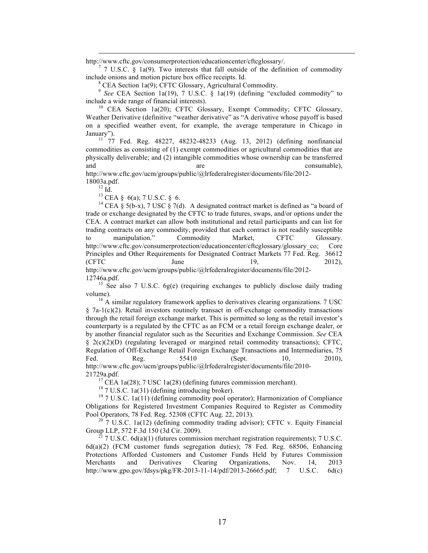http://www.cftc.gov/consumerprotection/educationcenter/cftcglossary/.<br>
<sup>7</sup> 7 U.S.C. § 1a(9). Two interests that fall outside of the definition of commodity include onions and motion picture box office receipts. Id.

<sup>8</sup> CEA Section 1a(9); CFTC Glossary, Agricultural Commodity.<br><sup>9</sup> *See* CEA Section 1a(19), 7 U.S.C. § 1a(19) (defining "excluded commodity" to include a wide range of financial interests).

<sup>10</sup> CEA Section 1a(20); CFTC Glossary, Exempt Commodity; CFTC Glossary, Weather Derivative (definitive "weather derivative" as "A derivative whose payoff is based on a specified weather event, for example, the average temperature in Chicago in January"). <sup>11</sup> 77 Fed. Reg. 48227, 48232-48233 (Aug. 13, 2012) (defining nonfinancial

commodities as consisting of (1) exempt commodities or agricultural commodities that are physically deliverable; and (2) intangible commodities whose ownership can be transferred and are consumable), and are consumable and consumable and consumable and consumable and consumable and consumable and consumable and consumable and consumable and consumable and consumable and consumable and consumable an

http://www.cftc.gov/ucm/groups/public/@lrfederalregister/documents/file/2012-

 $\overline{a}$ 

18003a.pdf.<br><sup>12</sup> Id.<br><sup>13</sup> CEA § 6(a); 7 U.S.C. § 6.<br><sup>14</sup> CEA § 5(b-x), 7 USC § 7(d). A designated contract market is defined as "a board of trade or exchange designated by the CFTC to trade futures, swaps, and/or options under the CEA. A contract market can allow both institutional and retail participants and can list for trading contracts on any commodity, provided that each contract is not readily susceptible to manipulation." Commodity Market, CFTC Glossary. http://www.cftc.gov/consumerprotection/educationcenter/cftcglossary/glossary\_co; Core Principles and Other Requirements for Designated Contract Markets 77 Fed. Reg. 36612  $(\text{CFTC}$  June 19, 2012), http://www.cftc.gov/ucm/groups/public/@lrfederalregister/documents/file/2012-

12746a.pdf.  $12746a$ .pdf. 15 See also 7 U.S.C. 6g(e) (requiring exchanges to publicly disclose daily trading

volume).

 $16$  A similar regulatory framework applies to derivatives clearing organizations. 7 USC  $§$  7a-1(c)(2). Retail investors routinely transact in off-exchange commodity transactions through the retail foreign exchange market. This is permitted so long as the retail investor's counterparty is a regulated by the CFTC as an FCM or a retail foreign exchange dealer, or by another financial regulator such as the Securities and Exchange Commission. *See* CEA  $\Sigma(c)(2)(D)$  (regulating leveraged or margined retail commodity transactions); CFTC, Regulation of Off-Exchange Retail Foreign Exchange Transactions and Intermediaries, 75 Fed. Reg. 55410 (Sept. 10, 2010), http://www.cftc.gov/ucm/groups/public/@lrfederalregister/documents/file/2010-

21729a.pdf. <sup>17</sup> CEA 1a(28); 7 USC 1a(28) (defining futures commission merchant). <sup>18</sup> 7 U.S.C. 1a(31) (defining introducing broker). <sup>19</sup> 7 U.S.C. 1a(11) (defining commodity pool operator); Harmonization of Compliance Obligations for Registered Investment Companies Required to Register as Commodity Pool Operators, 78 Fed. Reg. 52308 (CFTC Aug. 22, 2013).<br><sup>20</sup> 7 U.S.C. 1a(12) (defining commodity trading advisor); CFTC v. Equity Financial

Group LLP, 572 F.3d 150 (3d Cir. 2009).<br><sup>21</sup> 7 U.S.C. 6d(a)(1) (futures commission merchant registration requirements); 7 U.S.C.

 $6d(a)(2)$  (FCM customer funds segregation duties); 78 Fed. Reg. 68506, Enhancing Protections Afforded Customers and Customer Funds Held by Futures Commission Merchants and Derivatives Clearing Organizations, Nov. 14, 2013 http://www.gpo.gov/fdsys/pkg/FR-2013-11-14/pdf/2013-26665.pdf; 7 U.S.C. 6d(c)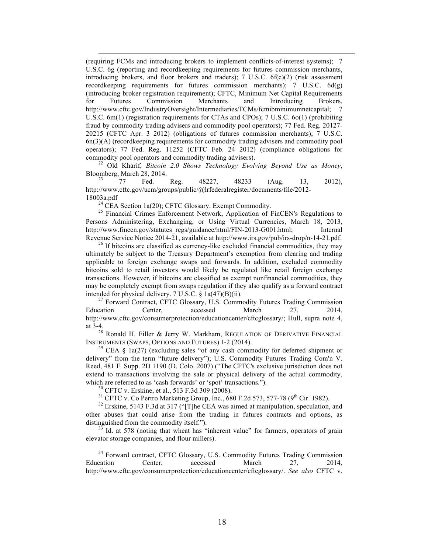(requiring FCMs and introducing brokers to implement conflicts-of-interest systems); 7 U.S.C. 6g (reporting and recordkeeping requirements for futures commission merchants, introducing brokers, and floor brokers and traders);  $7 \text{ U.S.C. } 6f(c)(2)$  (risk assessment recordkeeping requirements for futures commission merchants); 7 U.S.C. 6d(g) (introducing broker registration requirement); CFTC, Minimum Net Capital Requirements for Futures Commission Merchants and Introducing Brokers, http://www.cftc.gov/IndustryOversight/Intermediaries/FCMs/fcmibminimumnetcapital; 7 U.S.C. 6m(1) (registration requirements for CTAs and CPOs); 7 U.S.C. 6o(1) (prohibiting fraud by commodity trading advisers and commodity pool operators); 77 Fed. Reg. 20127- 20215 (CFTC Apr. 3 2012) (obligations of futures commission merchants); 7 U.S.C. 6n(3)(A) (recordkeeping requirements for commodity trading advisers and commodity pool operators); 77 Fed. Reg. 11252 (CFTC Feb. 24 2012) (compliance obligations for commodity pool operators and commodity trading advisers). 22 Old Kharif, *Bitcoin 2.0 Shows Technology Evolving Beyond Use as Money*,

Bloomberg, March 28, 2014.<br><sup>23</sup> 77 Fed. Reg. 48227, 48233 (Aug. 13, 2012),

http://www.cftc.gov/ucm/groups/public/@lrfederalregister/documents/file/2012-

 $\overline{a}$ 

18003a.pdf<br><sup>24</sup> CEA Section 1a(20); CFTC Glossary, Exempt Commodity.<br><sup>25</sup> Financial Crimes Enforcement Network, Application of FinCEN's Regulations to Persons Administering, Exchanging, or Using Virtual Currencies, March 18, 2013, http://www.fincen.gov/statutes\_regs/guidance/html/FIN-2013-G001.html; Internal

Revenue Service Notice 2014-21, available at http://www.irs.gov/pub/irs-drop/n-14-21.pdf. <sup>26</sup> If bitcoins are classified as currency-like excluded financial commodities, they may ultimately be subject to the Treasury Department's exemption from clearing and trading applicable to foreign exchange swaps and forwards. In addition, excluded commodity bitcoins sold to retail investors would likely be regulated like retail foreign exchange transactions. However, if bitcoins are classified as exempt nonfinancial commodities, they may be completely exempt from swaps regulation if they also qualify as a forward contract intended for physical delivery. 7 U.S.C. § 1a(47)(B)(ii).<br><sup>27</sup> Forward Contract, CFTC Glossary, U.S. Commodity Futures Trading Commission

Education Center, accessed March 27, 2014, http://www.cftc.gov/consumerprotection/educationcenter/cftcglossary/; Hull, supra note 4, at 3-4.

<sup>28</sup> Ronald H. Filler & Jerry W. Markham, REGULATION OF DERIVATIVE FINANCIAL INSTRUMENTS (SWAPS, OPTIONS AND FUTURES) 1-2 (2014).

<sup>29</sup> CEA § 1a(27) (excluding sales "of any cash commodity for deferred shipment or delivery" from the term "future delivery"); U.S. Commodity Futures Trading Com'n V. Reed, 481 F. Supp. 2D 1190 (D. Colo. 2007) ("The CFTC's exclusive jurisdiction does not extend to transactions involving the sale or physical delivery of the actual commodity, which are referred to as 'cash forwards' or 'spot' transactions.").<br>
<sup>30</sup> CFTC v. Erskine, et al., 513 F.3d 309 (2008).<br>
<sup>31</sup> CFTC v. Co Pertro Marketing Group, Inc., 680 F.2d 573, 577-78 (9<sup>th</sup> Cir. 1982).<br>
<sup>32</sup> Erskine,

other abuses that could arise from the trading in futures contracts and options, as distinguished from the commodity itself.").<br><sup>33</sup> Id. at 578 (noting that wheat has "inherent value" for farmers, operators of grain

elevator storage companies, and flour millers).

<sup>34</sup> Forward contract, CFTC Glossary, U.S. Commodity Futures Trading Commission Education Center, accessed March 27, 2014, http://www.cftc.gov/consumerprotection/educationcenter/cftcglossary/. *See also* CFTC v.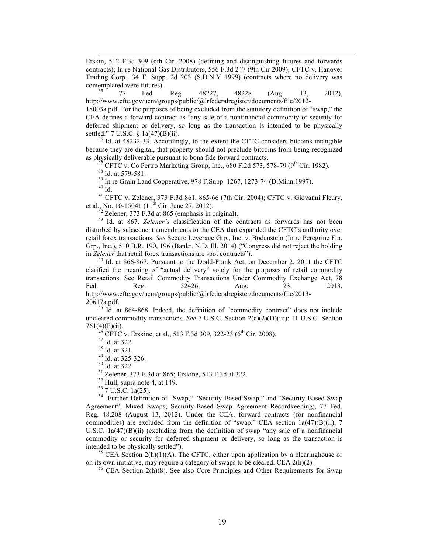Erskin, 512 F.3d 309 (6th Cir. 2008) (defining and distinguishing futures and forwards contracts); In re National Gas Distributors, 556 F.3d 247 (9th Cir 2009); CFTC v. Hanover Trading Corp., 34 F. Supp. 2d 203 (S.D.N.Y 1999) (contracts where no delivery was contemplated were futures).<br> $\frac{35}{27}$  T Fed. Reg. 48227, 48228 (Aug. 13, 2012),

http://www.cftc.gov/ucm/groups/public/@lrfederalregister/documents/file/2012- 18003a.pdf. For the purposes of being excluded from the statutory definition of "swap," the CEA defines a forward contract as "any sale of a nonfinancial commodity or security for deferred shipment or delivery, so long as the transaction is intended to be physically settled." 7 U.S.C. § 1a(47)(B)(ii).  $36$  Id. at 48232-33. Accordingly, to the extent the CFTC considers bitcoins intangible

because they are digital, that property should not preclude bitcoins from being recognized as physically deliverable pursuant to bona fide forward contracts.

 $\overline{a}$ 

<sup>37</sup> CFTC v. Co Pertro Marketing Group, Inc., 680 F.2d 573, 578-79 (9<sup>th</sup> Cir. 1982).<br><sup>38</sup> Id. at 579-581.<br><sup>39</sup> In re Grain Land Cooperative, 978 F.Supp. 1267, 1273-74 (D.Minn.1997).<br><sup>40</sup> Id.<br><sup>41</sup> CFTC v. Zelener, 373 F.3

<sup>42</sup> Zelener, 373 F.3d at 865 (emphasis in original).  $43$  Id. at 867. *Zelener's* classification of the contracts as forwards has not been disturbed by subsequent amendments to the CEA that expanded the CFTC's authority over retail forex transactions. *See* Secure Leverage Grp., Inc. v. Bodenstein (In re Peregrine Fin. Grp., Inc.), 510 B.R. 190, 196 (Bankr. N.D. Ill. 2014) ("Congress did not reject the holding in Zelener that retail forex transactions are spot contracts").

<sup>44</sup> Id. at 866-867. Pursuant to the Dodd-Frank Act, on December 2, 2011 the CFTC clarified the meaning of "actual delivery" solely for the purposes of retail commodity transactions. See Retail Commodity Transactions Under Commodity Exchange Act, 78 Fed. Reg. 52426, Aug. 23, 2013, http://www.cftc.gov/ucm/groups/public/@lrfederalregister/documents/file/2013-

20617a.pdf. <sup>45</sup> Id. at 864-868. Indeed, the definition of "commodity contract" does not include uncleared commodity transactions. *See* 7 U.S.C. Section 2(c)(2)(D)(iii); 11 U.S.C. Section 761(4)(F)(ii).<br>
<sup>46</sup> CFTC v. Erskine, et al., 513 F.3d 309, 322-23 (6<sup>th</sup> Cir. 2008).<br>
<sup>47</sup> Id. at 322.<br>
<sup>48</sup> Id. at 321.<br>
<sup>49</sup> Id. at 325-326.<br>
<sup>50</sup> Id. at 322.<br>
<sup>51</sup> Zelener, 373 F.3d at 865; Erskine, 513 F.3d at 322.<br>

Agreement"; Mixed Swaps; Security-Based Swap Agreement Recordkeeping;, 77 Fed. Reg. 48,208 (August 13, 2012). Under the CEA, forward contracts (for nonfinancial commodities) are excluded from the definition of "swap." CEA section 1a(47)(B)(ii), 7 U.S.C.  $1a(47)(B)(ii)$  (excluding from the definition of swap "any sale of a nonfinancial commodity or security for deferred shipment or delivery, so long as the transaction is

intended to be physically settled").<br>
<sup>55</sup> CEA Section 2(h)(1)(A). The CFTC, either upon application by a clearinghouse or<br>
on its own initiative, may require a category of swaps to be cleared. CEA 2(h)(2).

<sup>56</sup> CEA Section 2(h)(8). See also Core Principles and Other Requirements for Swap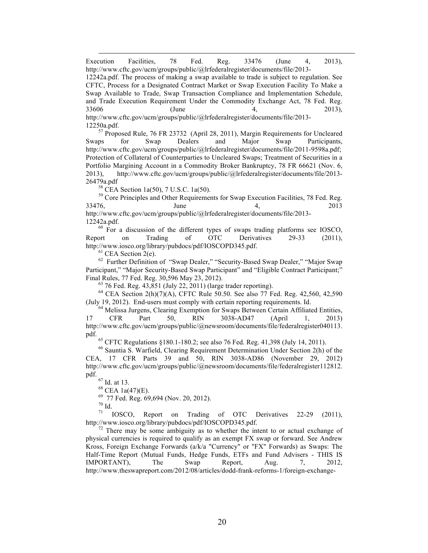Execution Facilities, 78 Fed. Reg. 33476 (June 4, 2013), http://www.cftc.gov/ucm/groups/public/@lrfederalregister/documents/file/2013-

12242a.pdf. The process of making a swap available to trade is subject to regulation. See CFTC, Process for a Designated Contract Market or Swap Execution Facility To Make a Swap Available to Trade, Swap Transaction Compliance and Implementation Schedule, and Trade Execution Requirement Under the Commodity Exchange Act, 78 Fed. Reg.  $33606$  (June 4, 2013), http://www.cftc.gov/ucm/groups/public/@lrfederalregister/documents/file/2013-

12250a.pdf.<br><sup>57</sup> Proposed Rule, 76 FR 23732 (April 28, 2011), Margin Requirements for Uncleared Swaps for Swap Dealers and Major Swap Participants, http://www.cftc.gov/ucm/groups/public/@lrfederalregister/documents/file/2011-9598a.pdf; Protection of Collateral of Counterparties to Uncleared Swaps; Treatment of Securities in a Portfolio Margining Account in a Commodity Broker Bankruptcy, 78 FR 66621 (Nov. 6, 2013), http://www.cftc.gov/ucm/groups/public/@lrfederalregister/documents/file/2013- 26479a.pdf<br><sup>58</sup> CEA Section 1a(50), 7 U.S.C. 1a(50).<br><sup>59</sup> Core Principles and Other Requirements for Swap Execution Facilities, 78 Fed. Reg.

 $33476,$  June  $4,$  2013 http://www.cftc.gov/ucm/groups/public/@lrfederalregister/documents/file/2013-

 $\overline{a}$ 

12242a.pdf.<br><sup>60</sup> For a discussion of the different types of swaps trading platforms see IOSCO, Report on Trading of OTC Derivatives 29-33 (2011), http://www.iosco.org/library/pubdocs/pdf/IOSCOPD345.pdf.<br><sup>61</sup> CEA Section 2(e).<br><sup>62</sup> Further Definition of "Swap Dealer," "Security-Based Swap Dealer," "Major Swap

Participant," "Major Security-Based Swap Participant" and "Eligible Contract Participant;"<br>Final Rules, 77 Fed. Reg. 30,596 May 23, 2012).

 $^{63}$  76 Fed. Reg. 43,851 (July 22, 2011) (large trader reporting).<br><sup>64</sup> CEA Section 2(h)(7)(A), CFTC Rule 50.50. See also 77 Fed. Reg. 42,560, 42,590 (July 19, 2012). End-users must comply with certain reporting requirements. Id. <sup>64</sup> Melissa Jurgens, Clearing Exemption for Swaps Between Certain Affiliated Entities,

17 CFR Part 50, RIN 3038-AD47 (April 1, 2013) http://www.cftc.gov/ucm/groups/public/@newsroom/documents/file/federalregister040113.

pdf. 65 CFTC Regulations §180.1-180.2; see also 76 Fed. Reg. 41,398 (July 14, 2011).<br><sup>66</sup> Sauntia S. Warfield, Clearing Requirement Determination Under Section 2(h) of the CEA, 17 CFR Parts 39 and 50, RIN 3038-AD86 (November 29, 2012) http://www.cftc.gov/ucm/groups/public/@newsroom/documents/file/federalregister112812. pdf.

<sup>67</sup> Id. at 13.<br><sup>68</sup> CEA 1a(47)(E).<br><sup>69</sup> 77 Fed. Reg. 69,694 (Nov. 20, 2012).<br><sup>71</sup> IOSCO, Report on Trading of OTC Derivatives 22-29 (2011), http://www.iosco.org/library/pubdocs/pdf/IOSCOPD345.pdf.<br><sup>72</sup> There may be some ambiguity as to whether the intent to or actual exchange of

physical currencies is required to qualify as an exempt FX swap or forward. See Andrew Kross, Foreign Exchange Forwards (a/k/a "Currency" or "FX" Forwards) as Swaps: The Half-Time Report (Mutual Funds, Hedge Funds, ETFs and Fund Advisers - THIS IS IMPORTANT), The Swap Report, Aug. 7, 2012, http://www.theswapreport.com/2012/08/articles/dodd-frank-reforms-1/foreign-exchange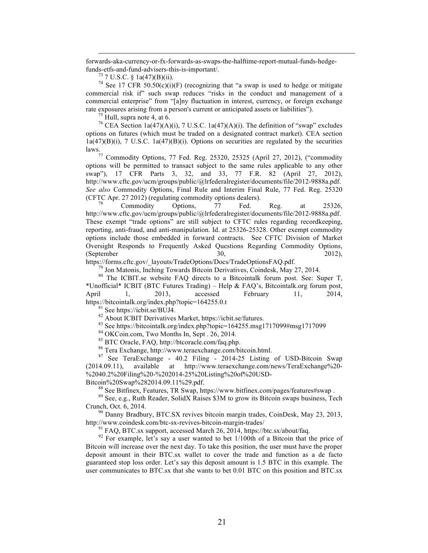forwards-aka-currency-or-fx-forwards-as-swaps-the-halftime-report-mutual-funds-hedgefunds-etfs-and-fund-advisers-this-is-important/.<br><sup>73</sup> 7 U.S.C. § 1a(47)(B)(ii).<br><sup>74</sup> See 17 CFR 50.50(c)(i)(F) (recognizing that "a swap is used to hedge or mitigate

 $\overline{a}$ 

commercial risk if" such swap reduces "risks in the conduct and management of a commercial enterprise" from "[a]ny fluctuation in interest, currency, or foreign exchange rate exposures arising from a person's current or anticipated assets or liabilities").

<sup>75</sup> Hull, supra note 4, at 6.<br><sup>76</sup> CEA Section 1a(47)(A)(i), 7 U.S.C. 1a(47)(A)(i). The definition of "swap" excludes options on futures (which must be traded on a designated contract market). CEA section  $1a(47)(B)(i)$ , 7 U.S.C.  $1a(47)(B)(i)$ . Options on securities are regulated by the securities

laws.<br><sup>77</sup> Commodity Options, 77 Fed. Reg. 25320, 25325 (April 27, 2012), ("commodity" options will be permitted to transact subject to the same rules applicable to any other swap"), 17 CFR Parts 3, 32, and 33, 77 F.R. 82 (April 27, 2012), http://www.cftc.gov/ucm/groups/public/@lrfederalregister/documents/file/2012-9888a.pdf. *See also* Commodity Options, Final Rule and Interim Final Rule, 77 Fed. Reg. 25320 (CFTC Apr. 27 2012) (regulating commodity options dealers).<br>
Commodity Options, 77 Fed. Reg. at 25326,

http://www.cftc.gov/ucm/groups/public/@lrfederalregister/documents/file/2012-9888a.pdf. These exempt "trade options" are still subject to CFTC rules regarding recordkeeping, reporting, anti-fraud, and anti-manipulation. Id. at 25326-25328. Other exempt commodity options include those embedded in forward contracts. See CFTC Division of Market Oversight Responds to Frequently Asked Questions Regarding Commodity Options, (September 30, 2012), https://forms.cftc.gov/\_layouts/TradeOptions/Docs/TradeOptionsFAQ.pdf.

<sup>79</sup> Jon Matonis, Inching Towards Bitcoin Derivatives, Coindesk, May 27, 2014.<br><sup>80</sup> The ICBIT.se website FAQ directs to a Bitcointalk forum post. See: Super T, \*Unofficial\* ICBIT (BTC Futures Trading) – Help & FAQ's, Bitcointalk.org forum post, April 1, 2013, accessed February 11, 2014, https://bitcointalk.org/index.php?topic=164255.0.t<br>
<sup>81</sup> See https://icbit.se/BUJ4.<br>
<sup>82</sup> About ICBIT Derivatives Market, https://icbit.se/futures.<br>
<sup>83</sup> See https://bitcointalk.org/index.php?topic=164255.msg1717099#msg171

(2014.09.11), available at http://www.teraexchange.com/news/TeraExchange%20- %2040.2%20Filing%20-%202014-25%20Listing%20of%20USD-

Bitcoin%20Swap%282014.09.11%29.pdf.<br><sup>88</sup> See Bitfinex, Features, TR Swap, https://www.bitfinex.com/pages/features#swap .<br><sup>89</sup> See, e.g., Ruth Reader, SolidX Raises \$3M to grow its Bitcoin swaps business, Tech

Crunch, Oct. 6, 2014.<br><sup>90</sup> Danny Bradbury, BTC.SX revives bitcoin margin trades, CoinDesk, May 23, 2013,<br>http://www.coindesk.com/btc-sx-revives-bitcoin-margin-trades/

<sup>91</sup> FAQ, BTC.sx support, accessed March 26, 2014, https://btc.sx/about/faq. <sup>92</sup> For example, let's say a user wanted to bet 1/100th of a Bitcoin that the price of Bitcoin will increase over the next day. To take this position, the user must have the proper deposit amount in their BTC.sx wallet to cover the trade and function as a de facto guaranteed stop loss order. Let's say this deposit amount is 1.5 BTC in this example. The user communicates to BTC.sx that she wants to bet 0.01 BTC on this position and BTC.sx